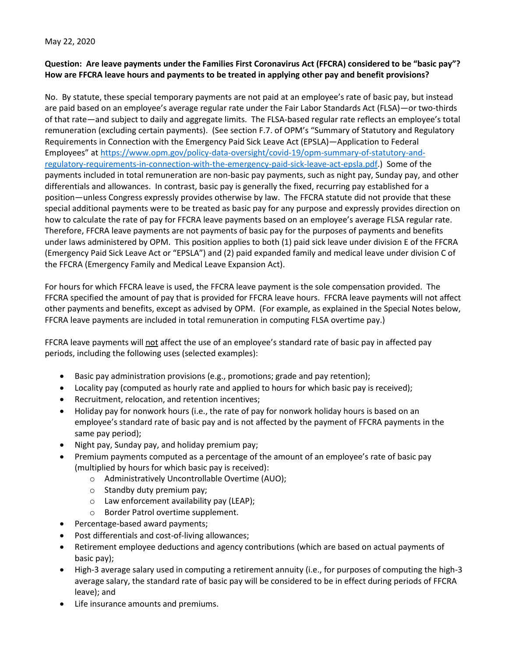May 22, 2020

## **Question: Are leave payments under the Families First Coronavirus Act (FFCRA) considered to be "basic pay"? How are FFCRA leave hours and payments to be treated in applying other pay and benefit provisions?**

No. By statute, these special temporary payments are not paid at an employee's rate of basic pay, but instead are paid based on an employee's average regular rate under the Fair Labor Standards Act (FLSA)—or two-thirds of that rate—and subject to daily and aggregate limits. The FLSA-based regular rate reflects an employee's total remuneration (excluding certain payments). (See section F.7. of OPM's "Summary of Statutory and Regulatory Requirements in Connection with the Emergency Paid Sick Leave Act (EPSLA)—Application to Federal Employees" at [https://www.opm.gov/policy-data-oversight/covid-19/opm-summary-of-statutory-and](https://www.opm.gov/policy-data-oversight/covid-19/opm-summary-of-statutory-and-regulatory-requirements-in-connection-with-the-emergency-paid-sick-leave-act-epsla.pdf)[regulatory-requirements-in-connection-with-the-emergency-paid-sick-leave-act-epsla.pdf.](https://www.opm.gov/policy-data-oversight/covid-19/opm-summary-of-statutory-and-regulatory-requirements-in-connection-with-the-emergency-paid-sick-leave-act-epsla.pdf)) Some of the payments included in total remuneration are non-basic pay payments, such as night pay, Sunday pay, and other differentials and allowances. In contrast, basic pay is generally the fixed, recurring pay established for a position—unless Congress expressly provides otherwise by law. The FFCRA statute did not provide that these special additional payments were to be treated as basic pay for any purpose and expressly provides direction on how to calculate the rate of pay for FFCRA leave payments based on an employee's average FLSA regular rate. Therefore, FFCRA leave payments are not payments of basic pay for the purposes of payments and benefits under laws administered by OPM. This position applies to both (1) paid sick leave under division E of the FFCRA (Emergency Paid Sick Leave Act or "EPSLA") and (2) paid expanded family and medical leave under division C of the FFCRA (Emergency Family and Medical Leave Expansion Act).

For hours for which FFCRA leave is used, the FFCRA leave payment is the sole compensation provided. The FFCRA specified the amount of pay that is provided for FFCRA leave hours. FFCRA leave payments will not affect other payments and benefits, except as advised by OPM. (For example, as explained in the Special Notes below, FFCRA leave payments are included in total remuneration in computing FLSA overtime pay.)

FFCRA leave payments will not affect the use of an employee's standard rate of basic pay in affected pay periods, including the following uses (selected examples):

- Basic pay administration provisions (e.g., promotions; grade and pay retention);
- Locality pay (computed as hourly rate and applied to hours for which basic pay is received);
- Recruitment, relocation, and retention incentives;
- Holiday pay for nonwork hours (i.e., the rate of pay for nonwork holiday hours is based on an employee's standard rate of basic pay and is not affected by the payment of FFCRA payments in the same pay period);
- Night pay, Sunday pay, and holiday premium pay;
- Premium payments computed as a percentage of the amount of an employee's rate of basic pay (multiplied by hours for which basic pay is received):
	- o Administratively Uncontrollable Overtime (AUO);
	- o Standby duty premium pay;
	- o Law enforcement availability pay (LEAP);
	- o Border Patrol overtime supplement.
- Percentage-based award payments;
- Post differentials and cost-of-living allowances;
- Retirement employee deductions and agency contributions (which are based on actual payments of basic pay);
- High-3 average salary used in computing a retirement annuity (i.e., for purposes of computing the high-3 average salary, the standard rate of basic pay will be considered to be in effect during periods of FFCRA leave); and
- Life insurance amounts and premiums.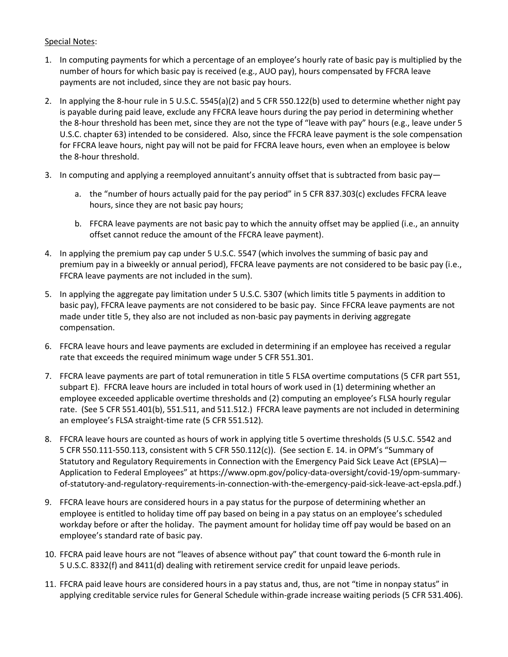## Special Notes:

- 1. In computing payments for which a percentage of an employee's hourly rate of basic pay is multiplied by the number of hours for which basic pay is received (e.g., AUO pay), hours compensated by FFCRA leave payments are not included, since they are not basic pay hours.
- 2. In applying the 8-hour rule in 5 U.S.C. 5545(a)(2) and 5 CFR 550.122(b) used to determine whether night pay is payable during paid leave, exclude any FFCRA leave hours during the pay period in determining whether the 8-hour threshold has been met, since they are not the type of "leave with pay" hours (e.g., leave under 5 U.S.C. chapter 63) intended to be considered. Also, since the FFCRA leave payment is the sole compensation for FFCRA leave hours, night pay will not be paid for FFCRA leave hours, even when an employee is below the 8-hour threshold.
- 3. In computing and applying a reemployed annuitant's annuity offset that is subtracted from basic pay
	- a. the "number of hours actually paid for the pay period" in 5 CFR 837.303(c) excludes FFCRA leave hours, since they are not basic pay hours;
	- b. FFCRA leave payments are not basic pay to which the annuity offset may be applied (i.e., an annuity offset cannot reduce the amount of the FFCRA leave payment).
- 4. In applying the premium pay cap under 5 U.S.C. 5547 (which involves the summing of basic pay and premium pay in a biweekly or annual period), FFCRA leave payments are not considered to be basic pay (i.e., FFCRA leave payments are not included in the sum).
- 5. In applying the aggregate pay limitation under 5 U.S.C. 5307 (which limits title 5 payments in addition to basic pay), FFCRA leave payments are not considered to be basic pay. Since FFCRA leave payments are not made under title 5, they also are not included as non-basic pay payments in deriving aggregate compensation.
- 6. FFCRA leave hours and leave payments are excluded in determining if an employee has received a regular rate that exceeds the required minimum wage under 5 CFR 551.301.
- 7. FFCRA leave payments are part of total remuneration in title 5 FLSA overtime computations (5 CFR part 551, subpart E). FFCRA leave hours are included in total hours of work used in (1) determining whether an employee exceeded applicable overtime thresholds and (2) computing an employee's FLSA hourly regular rate. (See 5 CFR 551.401(b), 551.511, and 511.512.) FFCRA leave payments are not included in determining an employee's FLSA straight-time rate (5 CFR 551.512).
- 8. FFCRA leave hours are counted as hours of work in applying title 5 overtime thresholds (5 U.S.C. 5542 and 5 CFR 550.111-550.113, consistent with 5 CFR 550.112(c)). (See section E. 14. in OPM's "Summary of Statutory and Regulatory Requirements in Connection with the Emergency Paid Sick Leave Act (EPSLA)— Application to Federal Employees" at https://www.opm.gov/policy-data-oversight/covid-19/opm-summaryof-statutory-and-regulatory-requirements-in-connection-with-the-emergency-paid-sick-leave-act-epsla.pdf.)
- 9. FFCRA leave hours are considered hours in a pay status for the purpose of determining whether an employee is entitled to holiday time off pay based on being in a pay status on an employee's scheduled workday before or after the holiday. The payment amount for holiday time off pay would be based on an employee's standard rate of basic pay.
- 10. FFCRA paid leave hours are not "leaves of absence without pay" that count toward the 6-month rule in 5 U.S.C. 8332(f) and 8411(d) dealing with retirement service credit for unpaid leave periods.
- 11. FFCRA paid leave hours are considered hours in a pay status and, thus, are not "time in nonpay status" in applying creditable service rules for General Schedule within-grade increase waiting periods (5 CFR 531.406).